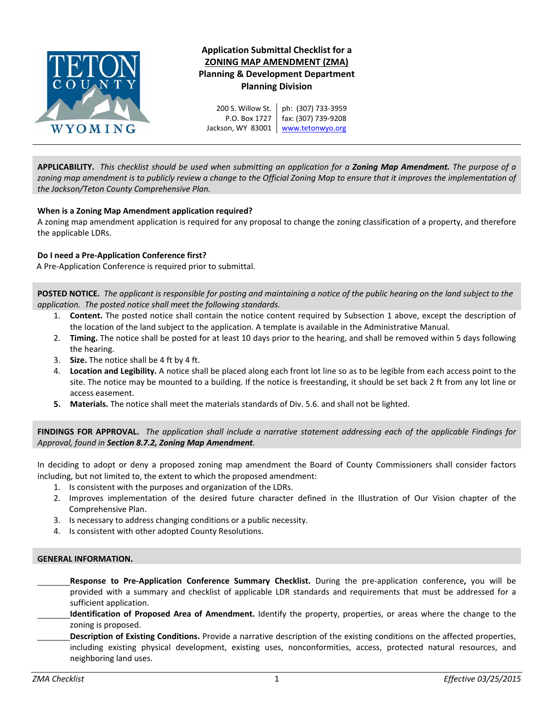

## **Application Submittal Checklist for a ZONING MAP AMENDMENT (ZMA) Planning & Development Department Planning Division**

200 S. Willow St. P.O. Box 1727 Jackson, WY 83001 ph: (307) 733‐3959 fax: (307) 739‐9208 www.tetonwyo.org

APPLICABILITY. This checklist should be used when submitting an application for a Zoning Map Amendment. The purpose of a zoning map amendment is to publicly review a change to the Official Zoning Map to ensure that it improves the implementation of *the Jackson/Teton County Comprehensive Plan.*

## **When is a Zoning Map Amendment application required?**

A zoning map amendment application is required for any proposal to change the zoning classification of a property, and therefore the applicable LDRs.

## **Do I need a Pre‐Application Conference first?**

A Pre‐Application Conference is required prior to submittal.

POSTED NOTICE. The applicant is responsible for posting and maintaining a notice of the public hearing on the land subject to the *application. The posted notice shall meet the following standards.*

- 1. **Content.** The posted notice shall contain the notice content required by Subsection 1 above, except the description of the location of the land subject to the application. A template is available in the Administrative Manual.
- 2. **Timing.** The notice shall be posted for at least 10 days prior to the hearing, and shall be removed within 5 days following the hearing.
- 3. **Size.** The notice shall be 4 ft by 4 ft.
- 4. **Location and Legibility.** A notice shall be placed along each front lot line so as to be legible from each access point to the site. The notice may be mounted to a building. If the notice is freestanding, it should be set back 2 ft from any lot line or access easement.
- **5. Materials.** The notice shall meet the materials standards of Div. 5.6. and shall not be lighted.

FINDINGS FOR APPROVAL. The application shall include a narrative statement addressing each of the applicable Findings for *Approval, found in Section 8.7.2, Zoning Map Amendment.*

In deciding to adopt or deny a proposed zoning map amendment the Board of County Commissioners shall consider factors including, but not limited to, the extent to which the proposed amendment:

- 1. Is consistent with the purposes and organization of the LDRs.
- 2. Improves implementation of the desired future character defined in the Illustration of Our Vision chapter of the Comprehensive Plan.
- 3. Is necessary to address changing conditions or a public necessity.
- 4. Is consistent with other adopted County Resolutions.

## **GENERAL INFORMATION.**

- **Response to Pre‐Application Conference Summary Checklist.** During the pre‐application conference**,** you will be provided with a summary and checklist of applicable LDR standards and requirements that must be addressed for a sufficient application.
- **Identification of Proposed Area of Amendment.** Identify the property, properties, or areas where the change to the zoning is proposed.
- **Description of Existing Conditions.** Provide a narrative description of the existing conditions on the affected properties, including existing physical development, existing uses, nonconformities, access, protected natural resources, and neighboring land uses.